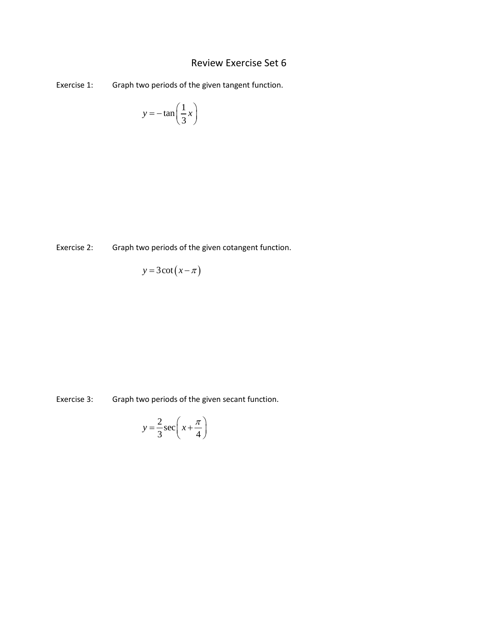# Review Exercise Set 6

Exercise 1: Graph two periods of the given tangent function.

$$
y = -\tan\left(\frac{1}{3}x\right)
$$

Exercise 2: Graph two periods of the given cotangent function.

$$
y = 3 \cot\left(x - \pi\right)
$$

Exercise 3: Graph two periods of the given secant function.

$$
y = \frac{2}{3}\sec\left(x + \frac{\pi}{4}\right)
$$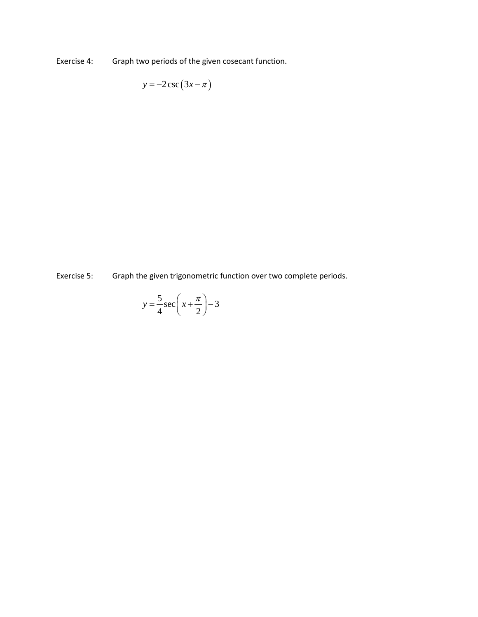Exercise 4: Graph two periods of the given cosecant function.

 $y = -2 \csc (3x - \pi)$ 

Exercise 5: Graph the given trigonometric function over two complete periods.

$$
y = \frac{5}{4}\sec\left(x + \frac{\pi}{2}\right) - 3
$$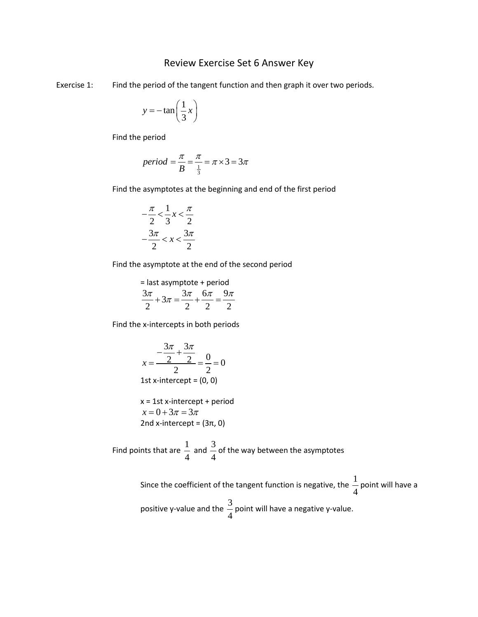#### Review Exercise Set 6 Answer Key

Exercise 1: Find the period of the tangent function and then graph it over two periods.

$$
y = -\tan\left(\frac{1}{3}x\right)
$$

Find the period

$$
period = \frac{\pi}{B} = \frac{\pi}{\frac{1}{3}} = \pi \times 3 = 3\pi
$$

Find the asymptotes at the beginning and end of the first period

$$
-\frac{\pi}{2} < \frac{1}{3}x < \frac{\pi}{2}
$$
\n
$$
-\frac{3\pi}{2} < x < \frac{3\pi}{2}
$$

Find the asymptote at the end of the second period

= last asymptote + period

$$
\frac{3\pi}{2} + 3\pi = \frac{3\pi}{2} + \frac{6\pi}{2} = \frac{9\pi}{2}
$$

Find the x-intercepts in both periods

$$
x = \frac{-\frac{3\pi}{2} + \frac{3\pi}{2}}{2} = \frac{0}{2} = 0
$$
  
1st x-intercept = (0, 0)

$$
x = 1st x-intercept + period
$$
  

$$
x = 0 + 3\pi = 3\pi
$$
  
2nd x-intercept = (3π, 0)

Find points that are  $\frac{1}{1}$ 4 and  $\frac{3}{7}$ 4 of the way between the asymptotes

> Since the coefficient of the tangent function is negative, the  $\frac{1}{1}$ 4 point will have a positive y-value and the  $\frac{3}{4}$ 4 point will have a negative y-value.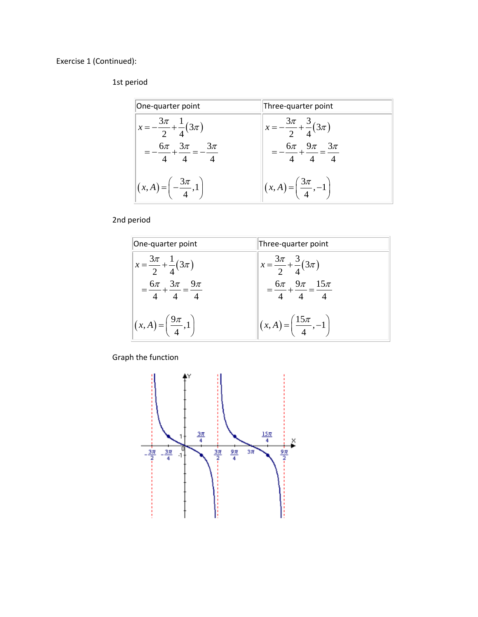Exercise 1 (Continued):

#### 1st period

| One-quarter point                                    | Three-quarter point                              |
|------------------------------------------------------|--------------------------------------------------|
| $x=-\frac{3\pi}{2}+\frac{1}{4}(3\pi)$                | $x=-\frac{3\pi}{2}+\frac{3}{4}(3\pi)$            |
| $-\frac{6\pi}{4} + \frac{3\pi}{4} = -\frac{3\pi}{4}$ | $=-\frac{6\pi}{4}+\frac{9\pi}{4}=\frac{3\pi}{4}$ |
| $(x,A) = \left(-\frac{3\pi}{4},1\right)$             | $(x,A) = \left(\frac{3\pi}{4},-1\right)$         |

2nd period



Graph the function

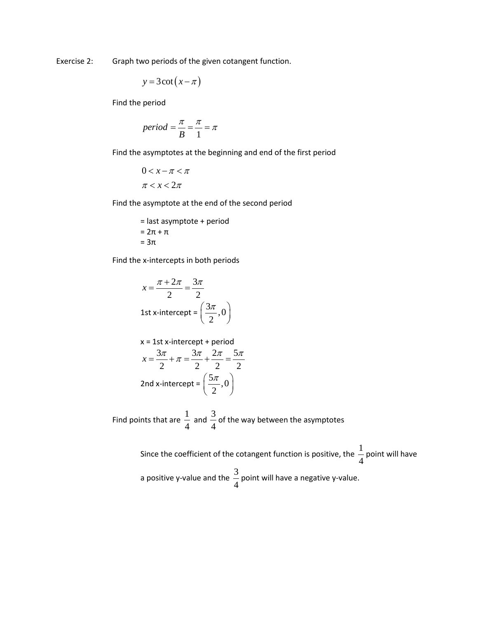Exercise 2: Graph two periods of the given cotangent function.

$$
y = 3 \cot(x - \pi)
$$

Find the period

$$
period = \frac{\pi}{B} = \frac{\pi}{1} = \pi
$$

Find the asymptotes at the beginning and end of the first period

 $0 < x - \pi < \pi$  $\pi < x < 2\pi$ 

Find the asymptote at the end of the second period

= last asymptote + period  $= 2π + π$  $= 3\pi$ 

Find the x-intercepts in both periods

$$
x = \frac{\pi + 2\pi}{2} = \frac{3\pi}{2}
$$
  
1st x-intercept =  $\left(\frac{3\pi}{2}, 0\right)$ 

x = 1st x-intercept + period  
\n
$$
x = \frac{3\pi}{2} + \pi = \frac{3\pi}{2} + \frac{2\pi}{2} = \frac{5\pi}{2}
$$
\n2nd x-intercept =  $\left(\frac{5\pi}{2}, 0\right)$ 

Find points that are  $\frac{1}{4}$ 4 and  $\frac{3}{4}$ 4 of the way between the asymptotes

> Since the coefficient of the cotangent function is positive, the  $\frac{1}{1}$ 4 point will have a positive y-value and the  $\frac{3}{4}$ 4 point will have a negative y-value.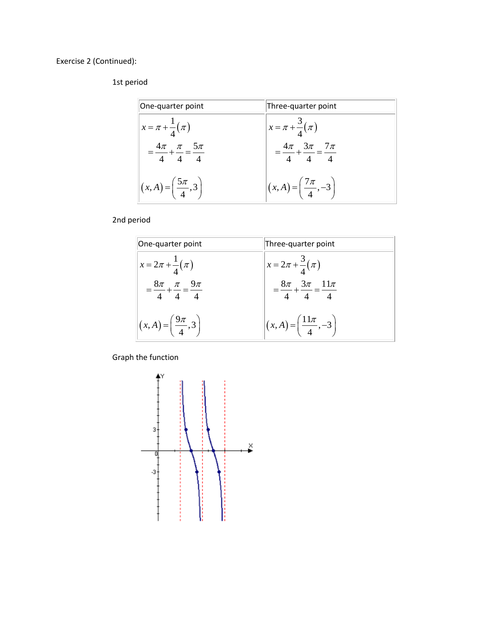Exercise 2 (Continued):

## 1st period

| One-quarter point                                  | Three-quarter point                             |
|----------------------------------------------------|-------------------------------------------------|
| $x = \pi + \frac{1}{4}(\pi)$                       | $x = \pi + \frac{3}{4}(\pi)$                    |
| $=\frac{4\pi}{4} + \frac{\pi}{4} = \frac{5\pi}{4}$ | $=\frac{4\pi}{4}+\frac{3\pi}{4}=\frac{7\pi}{4}$ |
| $(x,A) = \left(\frac{5\pi}{4},3\right)$            | $(x,A) = \left(\frac{7\pi}{4}, -3\right)$       |

2nd period

| One-quarter point                              | Three-quarter point                              |
|------------------------------------------------|--------------------------------------------------|
| $x = 2\pi + \frac{1}{4}(\pi)$                  | $x = 2\pi + \frac{3}{4}(\pi)$                    |
| $=\frac{8\pi}{4}+\frac{\pi}{4}=\frac{9\pi}{4}$ | $=\frac{8\pi}{4}+\frac{3\pi}{4}=\frac{11\pi}{4}$ |
| $ (x,A) = \left(\frac{9\pi}{4},3\right) $      | $(x,A) = \left(\frac{11\pi}{4}, -3\right)$       |

Graph the function

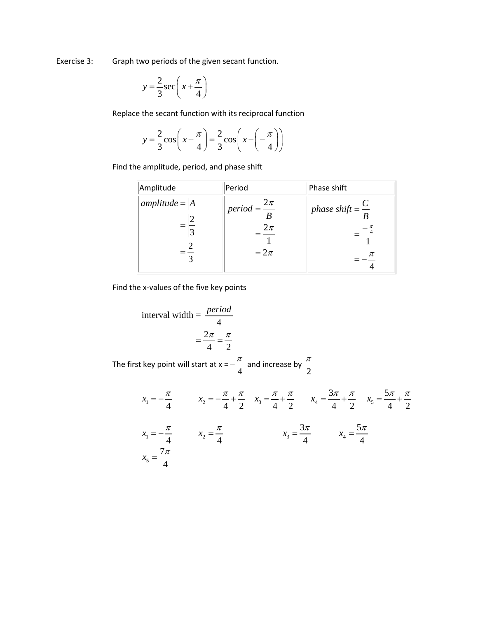Exercise 3: Graph two periods of the given secant function.

$$
y = \frac{2}{3}\sec\left(x + \frac{\pi}{4}\right)
$$

Replace the secant function with its reciprocal function

$$
y = \frac{2}{3}\cos\left(x + \frac{\pi}{4}\right) = \frac{2}{3}\cos\left(x - \left(-\frac{\pi}{4}\right)\right)
$$

Find the amplitude, period, and phase shift

| Amplitude         | Period                                                           | Phase shift                      |
|-------------------|------------------------------------------------------------------|----------------------------------|
| amplitude = $ A $ | $\mu$ period = $\frac{2\pi}{\pi}$<br>$\frac{2\pi}{ }$<br>$=2\pi$ | phase shift = $\frac{C}{R}$<br>π |

Find the x-values of the five key points

interval width = 
$$
\frac{period}{4}
$$

$$
= \frac{2\pi}{4} = \frac{\pi}{2}
$$

The first key point will start at  $x = -\frac{\pi}{4}$  and increase by  $\frac{\pi}{2}$ 

$$
x_1 = -\frac{\pi}{4} \qquad x_2 = -\frac{\pi}{4} + \frac{\pi}{2} \qquad x_3 = \frac{\pi}{4} + \frac{\pi}{2} \qquad x_4 = \frac{3\pi}{4} + \frac{\pi}{2} \qquad x_5 = \frac{5\pi}{4} + \frac{\pi}{2}
$$
\n
$$
x_1 = -\frac{\pi}{4} \qquad x_2 = \frac{\pi}{4} \qquad x_3 = \frac{3\pi}{4} \qquad x_4 = \frac{5\pi}{4}
$$
\n
$$
x_5 = \frac{7\pi}{4}
$$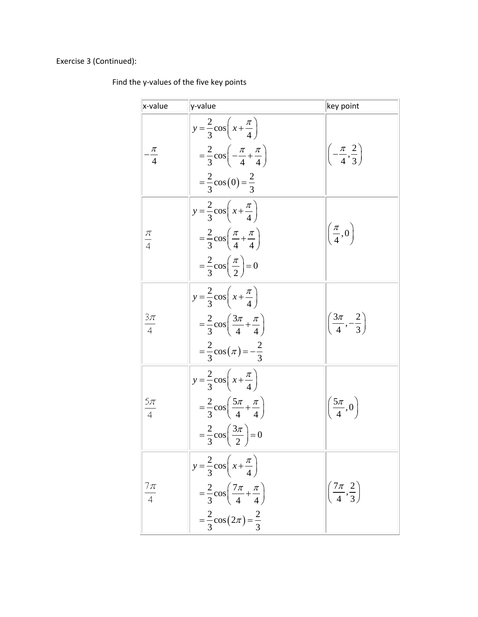## Exercise 3 (Continued):

## Find the y-values of the five key points

| x-value          | y-value                                                                                                                                                                 | key point                                   |
|------------------|-------------------------------------------------------------------------------------------------------------------------------------------------------------------------|---------------------------------------------|
| $\frac{\pi}{4}$  | $y = \frac{2}{3} \cos \left(x + \frac{\pi}{4}\right)$<br>$=\frac{2}{3}\cos\left(-\frac{\pi}{4}+\frac{\pi}{4}\right)$<br>$=\frac{2}{3}\cos(0)=\frac{2}{3}$               | $\left(-\frac{\pi}{4},\frac{2}{3}\right)$   |
| $\frac{\pi}{4}$  | $y = \frac{2}{3} \cos \left(x + \frac{\pi}{4}\right)$<br>$=\frac{2}{3}\cos\left(\frac{\pi}{4}+\frac{\pi}{4}\right)$<br>$=\frac{2}{3}\cos\left(\frac{\pi}{2}\right)=0$   | $\left(\frac{\pi}{4},0\right)$              |
| $\frac{3\pi}{4}$ | $y = \frac{2}{3} \cos \left(x + \frac{\pi}{4}\right)$<br>$=\frac{2}{3}\cos\left(\frac{3\pi}{4}+\frac{\pi}{4}\right)$<br>$=\frac{2}{3}\cos(\pi)=-\frac{2}{3}$            | $\left(\frac{3\pi}{4}, -\frac{2}{3}\right)$ |
| $rac{5\pi}{4}$   | $y = \frac{2}{3} \cos \left(x + \frac{\pi}{4}\right)$<br>$=\frac{2}{3}\cos\left(\frac{5\pi}{4}+\frac{\pi}{4}\right)$<br>$=\frac{2}{3}\cos\left(\frac{3\pi}{2}\right)=0$ | $\left(\frac{5\pi}{4},0\right)$             |
| 7л<br>4          | $y = \frac{2}{3}\cos\left(x + \frac{\pi}{4}\right)$<br>$=\frac{2}{3}\cos\left(\frac{7\pi}{4}+\frac{\pi}{4}\right)$<br>$=\frac{2}{3}\cos(2\pi)=\frac{2}{3}$              | $\left(\frac{7\pi}{4},\frac{2}{3}\right)$   |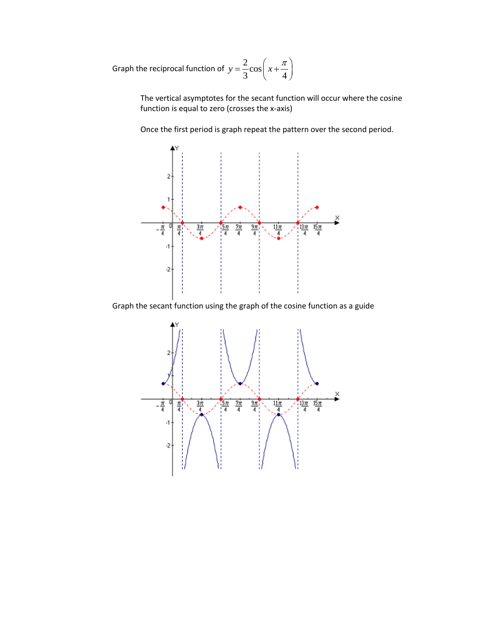Graph the reciprocal function of  $y = \frac{2}{3} \cos\left(x + \frac{\pi}{4}\right)$ 

The vertical asymptotes for the secant function will occur where the cosine function is equal to zero (crosses the x-axis)

Once the first period is graph repeat the pattern over the second period.



Graph the secant function using the graph of the cosine function as a guide

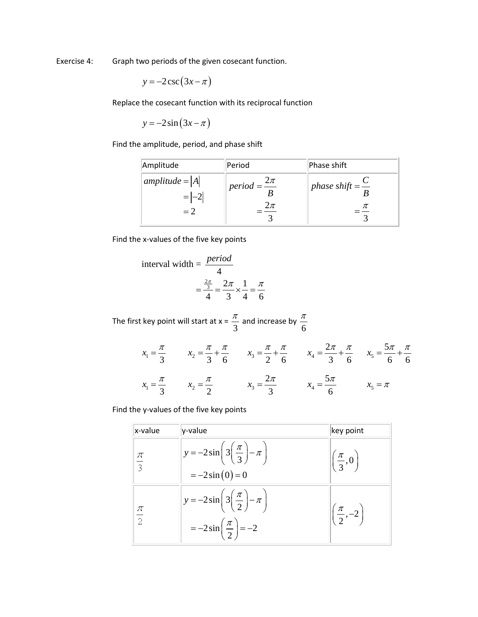Exercise 4: Graph two periods of the given cosecant function.

$$
y = -2\csc(3x - \pi)
$$

Replace the cosecant function with its reciprocal function

$$
y = -2\sin(3x - \pi)
$$

Find the amplitude, period, and phase shift

| Amplitude                  | Period                      | Phase shift                        |
|----------------------------|-----------------------------|------------------------------------|
| $amplitude =  A $<br>$= 2$ | period = $\frac{2\pi}{\pi}$ | <i>phase shift</i> = $\frac{C}{T}$ |

Find the x-values of the five key points

interval width = 
$$
\frac{\text{period}}{4}
$$

$$
= \frac{\frac{2\pi}{3}}{4} = \frac{2\pi}{3} \times \frac{1}{4} = \frac{\pi}{6}
$$

The first key point will start at  $x = \frac{\pi}{3}$  and increase by  $\frac{\pi}{6}$ 

$$
x_1 = \frac{\pi}{3}
$$
  $x_2 = \frac{\pi}{3} + \frac{\pi}{6}$   $x_3 = \frac{\pi}{2} + \frac{\pi}{6}$   $x_4 = \frac{2\pi}{3} + \frac{\pi}{6}$   $x_5 = \frac{5\pi}{6} + \frac{\pi}{6}$   
 $x_1 = \frac{\pi}{3}$   $x_2 = \frac{\pi}{2}$   $x_3 = \frac{2\pi}{3}$   $x_4 = \frac{5\pi}{6}$   $x_5 = \pi$ 

Find the y-values of the five key points

| x-value         | y-value                                                                                              | key point                       |
|-----------------|------------------------------------------------------------------------------------------------------|---------------------------------|
| $\frac{\pi}{3}$ | $y = -2\sin\left(3\left(\frac{\pi}{3}\right) - \pi\right)$<br>$=-2\sin(0)=0$                         | $\left(\frac{\pi}{3},0\right)$  |
| $\frac{\pi}{2}$ | $y = -2\sin\left(3\left(\frac{\pi}{2}\right) - \pi\right)$<br>$=-2\sin\left(\frac{\pi}{2}\right)=-2$ | $\left(\frac{\pi}{2},-2\right)$ |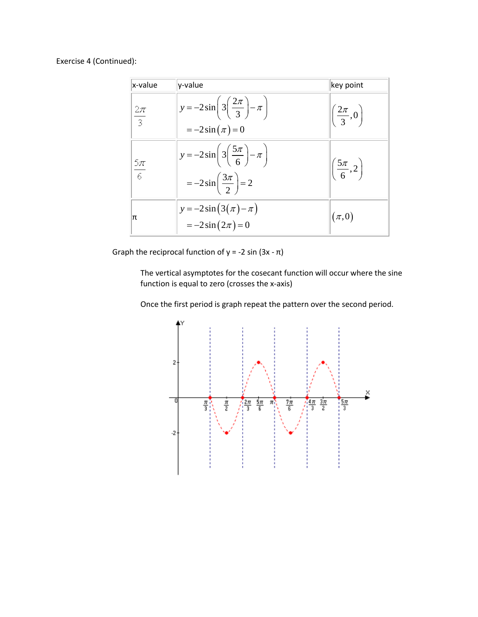Exercise 4 (Continued):

| x-value                 | y-value                                                                                               | key point                        |
|-------------------------|-------------------------------------------------------------------------------------------------------|----------------------------------|
| $2\pi$<br>$\frac{1}{3}$ | $y = -2\sin\left(3\left(\frac{2\pi}{3}\right) - \pi\right)$<br>$=-2\sin(\pi)=0$                       | $\left(\frac{2\pi}{3},0\right)$  |
| $\frac{5\pi}{6}$        | $y = -2\sin\left(3\left(\frac{5\pi}{6}\right) - \pi\right)$<br>$=-2\sin\left(\frac{3\pi}{2}\right)=2$ | $\left(\frac{5\pi}{6}, 2\right)$ |
| π                       | $y = -2\sin(3(\pi) - \pi)$<br>$=-2\sin(2\pi)=0$                                                       | $(\pi,0)$                        |

Graph the reciprocal function of  $y = -2 \sin(3x - \pi)$ 

The vertical asymptotes for the cosecant function will occur where the sine function is equal to zero (crosses the x-axis)

Once the first period is graph repeat the pattern over the second period.

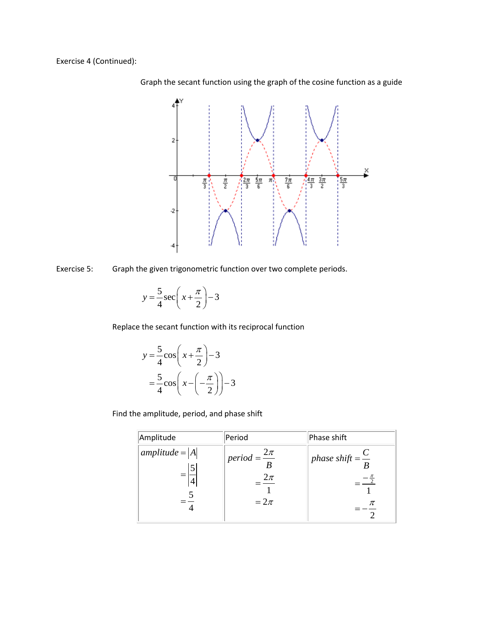Exercise 4 (Continued):



Graph the secant function using the graph of the cosine function as a guide

Exercise 5: Graph the given trigonometric function over two complete periods.

$$
y = \frac{5}{4}\sec\left(x + \frac{\pi}{2}\right) - 3
$$

Replace the secant function with its reciprocal function

$$
y = \frac{5}{4}\cos\left(x + \frac{\pi}{2}\right) - 3
$$

$$
= \frac{5}{4}\cos\left(x - \left(-\frac{\pi}{2}\right)\right) - 3
$$

Find the amplitude, period, and phase shift

| Amplitude         | Period                                                    | Phase shift                      |
|-------------------|-----------------------------------------------------------|----------------------------------|
| $amplitude =  A $ | $\mu$ period = $\frac{2\pi}{\sigma}$<br>$2\pi$<br>$=2\pi$ | phase shift = $\frac{C}{R}$<br>π |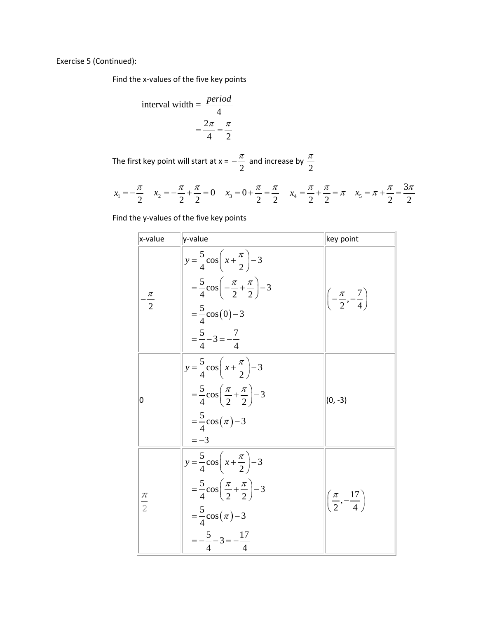Exercise 5 (Continued):

Find the x-values of the five key points

interval width = 
$$
\frac{period}{4}
$$

$$
= \frac{2\pi}{4} = \frac{\pi}{2}
$$

The first key point will start at  $x =$ 2  $-\frac{\pi}{2}$  and increase by  $\frac{\pi}{2}$ 

$$
x_1 = -\frac{\pi}{2} \quad x_2 = -\frac{\pi}{2} + \frac{\pi}{2} = 0 \quad x_3 = 0 + \frac{\pi}{2} = \frac{\pi}{2} \quad x_4 = \frac{\pi}{2} + \frac{\pi}{2} = \pi \quad x_5 = \pi + \frac{\pi}{2} = \frac{3\pi}{2}
$$

Find the y-values of the five key points

| x-value          | y-value                                                                                                                                                                                     | key point                                  |
|------------------|---------------------------------------------------------------------------------------------------------------------------------------------------------------------------------------------|--------------------------------------------|
| $-\frac{\pi}{2}$ | $y = \frac{5}{4} \cos \left( x + \frac{\pi}{2} \right) - 3$<br>$=\frac{5}{4}\cos\left(-\frac{\pi}{2}+\frac{\pi}{2}\right)-3$<br>$=\frac{5}{4}\cos(0)-3$<br>$=\frac{5}{4}-3=-\frac{7}{4}$    | $\left(-\frac{\pi}{2},-\frac{7}{4}\right)$ |
| 0                | $y = \frac{5}{4} \cos \left( x + \frac{\pi}{2} \right) - 3$<br>$=\frac{5}{4}\cos\left(\frac{\pi}{2}+\frac{\pi}{2}\right)-3$<br>$=\frac{5}{4}\cos(\pi)-3$<br>$=-3$                           | $(0, -3)$                                  |
| $\frac{\pi}{2}$  | $y = \frac{5}{4} \cos \left( x + \frac{\pi}{2} \right) - 3$<br>$=\frac{5}{4}\cos\left(\frac{\pi}{2}+\frac{\pi}{2}\right)-3$<br>$=\frac{5}{4}\cos(\pi)-3$<br>$=-\frac{5}{4}-3=-\frac{17}{4}$ | $\left(\frac{\pi}{2},-\frac{17}{4}\right)$ |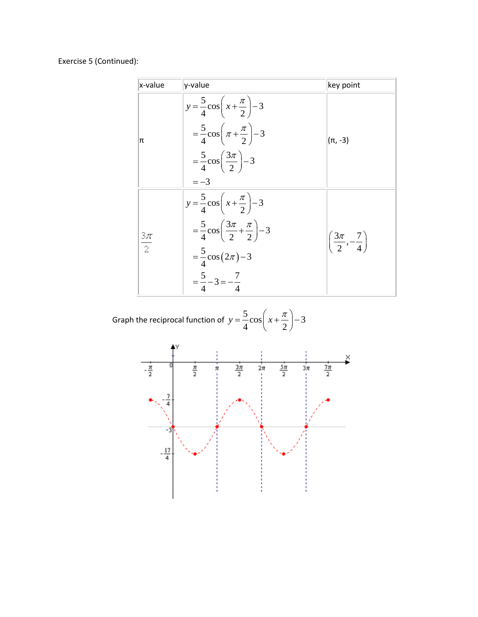## Exercise 5 (Continued):

| x-value          | y-value                                                                                                                                                                                  | key point                                  |
|------------------|------------------------------------------------------------------------------------------------------------------------------------------------------------------------------------------|--------------------------------------------|
| π                | $y = \frac{5}{4} \cos\left(x + \frac{\pi}{2}\right) - 3$<br>$=\frac{5}{4}\cos\left(\pi+\frac{\pi}{2}\right)-3$<br>$=\frac{5}{4}\cos\left(\frac{3\pi}{2}\right)-3$<br>$=-3$               | $(\pi, -3)$                                |
| $\frac{3\pi}{2}$ | $y = \frac{5}{4} \cos\left(x + \frac{\pi}{2}\right) - 3$<br>$=\frac{5}{4}\cos\left(\frac{3\pi}{2}+\frac{\pi}{2}\right)-3$<br>$=\frac{5}{4}\cos(2\pi)-3$<br>$=\frac{5}{4}-3=-\frac{7}{4}$ | $\left(\frac{3\pi}{2},-\frac{7}{4}\right)$ |

Graph the reciprocal function of 
$$
y = \frac{5}{4} \cos\left(x + \frac{\pi}{2}\right) - 3
$$